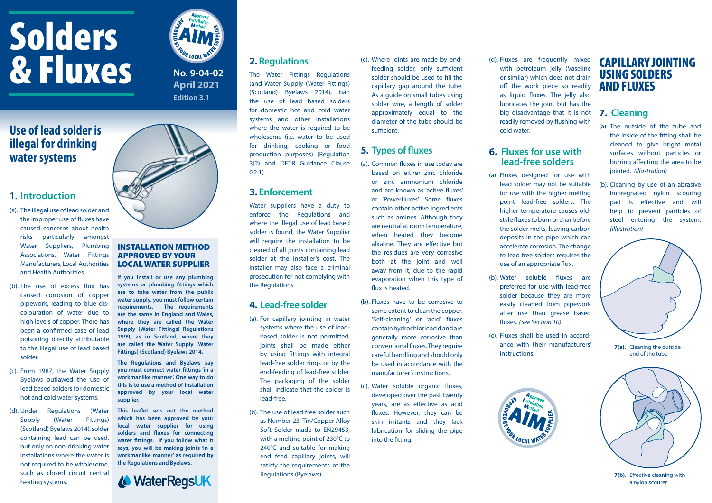# Solders **RELINES** No. 9-04-02

**April 2021 Edition 3.1**

#### **Use of lead solder is illegal for drinking water systems**

#### **1. Introduction**

- (a). The illegal use of lead solder and the improper use of fluxes have caused concerns about health risks particularly amongst Water Suppliers, Plumbing Associations, Water Fittings Manufacturers,Local Authorities and Health Authorities.
- (b). The use of excess flux has caused corrosion of copper pipework, leading to blue discolouration of water due to high levels of copper. There has been a confirmed case of lead poisoning directly attributable to the illegal use of lead based solder.
- (c). From 1987, the Water Supply Byelaws outlawed the use of lead based solders for domestic hot and cold water systems.
- (d). Under Regulations (Water Supply (Water Fittings) (Scotland) Byelaws 2014), solder containing lead can be used, but only on non-drinking water installations where the water is not required to be wholesome, such as closed circuit central heating systems.



#### INSTALLATION METHOD APPROVED BY YOUR LOCAL WATER SUPPLIER

**If you install or use any plumbing systems or plumbing fittings which are to take water from the public water supply, you must follow certain requirements. The requirements are the same in England and Wales, where they are called the Water Supply (Water Fittings) Regulations 1999, as in Scotland, where they are called the Water Supply (Water Fittings) (Scotland) Byelaws 2014.**

**The Regulations and Byelaws say you must connect water fittings 'in a workmanlike manner'. One way to do this is to use a method of installation approved by your local water supplier.**

**This leaflet sets out the method which has been approved by your local water supplier for using solders and fluxes for connecting water fittings. If you follow what it says, you will be making joints 'in a workmanlike manner' as required by the Regulations and Byelaws.**

### **MaterRegsUK**

#### **2. Regulations**

The Water Fittings Regulations (and Water Supply (Water Fittings) (Scotland) Byelaws 2014), ban the use of lead based solders for domestic hot and cold water systems and other installations where the water is required to be wholesome (i.e. water to be used for drinking, cooking or food production purposes) (Regulation 3(2) and DETR Guidance Clause G2.1).

#### **3. Enforcement**

Water suppliers have a duty to enforce the Regulations and where the illegal use of lead based solder is found, the Water Supplier will require the installation to be cleared of all joints containing lead solder at the installer's cost. The installer may also face a criminal prosecution for not complying with the Regulations.

#### **4. Lead-free solder**

- (a). For capillary jointing in water systems where the use of leadbased solder is not permitted, joints shall be made either by using fittings with integral lead-free solder rings or by the end-feeding of lead-free solder. The packaging of the solder shall indicate that the solder is lead-free.
- (b). The use of lead free solder such as Number 23, Tin/Copper Alloy Soft Solder made to EN29453, with a melting point of 230˚C to 240°C and suitable for making end feed capillary joints, will satisfy the requirements of the Regulations (Byelaws).

(c). Where joints are made by endfeeding solder, only sufficient solder should be used to fill the capillary gap around the tube. As a guide on small tubes using solder wire, a length of solder approximately equal to the diameter of the tube should be sufficient.

#### **5. Types of fluxes**

- (a). Common fluxes in use today are based on either zinc chloride or zinc ammonium chloride and are known as 'active fluxes' or 'Powerfluxes'. Some fluxes contain other active ingredients such as amines. Although they are neutral at room temperature, when heated they become alkaline. They are effective but the residues are very corrosive both at the joint and well away from it, due to the rapid evaporation when this type of flux is heated.
- (b). Fluxes have to be corrosive to some extent to clean the copper. 'Self-cleaning' or 'acid' fluxes contain hydrochloric acid and are generally more corrosive than conventional fluxes. They require careful handling and should only be used in accordance with the manufacturer's instructions.
- (c). Water soluble organic fluxes, developed over the past twenty years, are as effective as acid fluxes. However, they can be skin irritants and they lack lubrication for sliding the pipe into the fitting.

(d). Fluxes are frequently mixed with petroleum jelly (Vaseline or similar) which does not drain off the work piece so readily as liquid fluxes. The jelly also lubricates the joint but has the big disadvantage that it is not readily removed by flushing with cold water.

#### **6. Fluxes for use with lead-free solders**

- (a). Fluxes designed for use with lead solder may not be suitable for use with the higher melting point lead-free solders. The higher temperature causes oldstyle fluxes to burn or char before the solder melts, leaving carbon deposits in the pipe which can accelerate corrosion. The change to lead free solders requires the use of an appropriate flux.
- (b). Water soluble fluxes are preferred for use with lead-free solder because they are more easily cleaned from pipework after use than grease based fluxes. *(See Section 10)*
- (c). Fluxes shall be used in accordance with their manufacturers' instructions.



#### CAPILLARY JOINTING USING SOLDERS **AND FLUXES**

#### **7. Cleaning**

- (a). The outside of the tube and the inside of the fitting shall be cleaned to give bright metal surfaces without particles or burring affecting the area to be jointed. *(Illustration)*
- (b). Cleaning by use of an abrasive impregnated nylon scouring pad is effective and will help to prevent particles of steel entering the system. *(Illustration)*



**7(a).** Cleaning the outside end of the tube



**7(b).** Effective cleaning with a nylon scourer